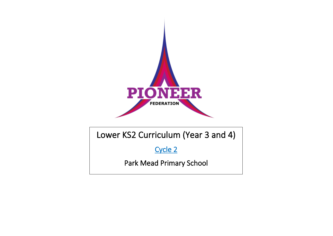

## Lower KS2 Curriculum (Year 3 and 4)

Cycle 2

Park Mead Primary School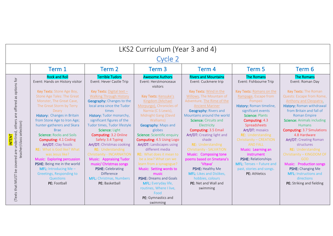| LKS2 Curriculum (Year 3 and 4)                                                |                                                                                                                       |                                                                                                                          |                                                                                                                                    |                                                                                                                                   |                                                                                            |                                                                                                                                            |  |  |
|-------------------------------------------------------------------------------|-----------------------------------------------------------------------------------------------------------------------|--------------------------------------------------------------------------------------------------------------------------|------------------------------------------------------------------------------------------------------------------------------------|-----------------------------------------------------------------------------------------------------------------------------------|--------------------------------------------------------------------------------------------|--------------------------------------------------------------------------------------------------------------------------------------------|--|--|
|                                                                               | <b>Cycle 2</b>                                                                                                        |                                                                                                                          |                                                                                                                                    |                                                                                                                                   |                                                                                            |                                                                                                                                            |  |  |
|                                                                               | Term 1                                                                                                                | Term 2                                                                                                                   | Term 3                                                                                                                             | Term 4                                                                                                                            | Term 5                                                                                     | Term 6                                                                                                                                     |  |  |
|                                                                               | <b>Rock and Roll</b><br>Event: Hands on History visitor                                                               | <b>Terrible Tudors</b><br>Event: Hever Castle Trip                                                                       | <b>Awesome Authors</b><br>Event: Herstmonceaux<br>visitors                                                                         | <b>Rivers and Mountains</b><br>Event: Cuckmere trip                                                                               | <b>The Romans</b><br>Event: Fishbourne Trip                                                | <b>The Romans</b><br>Event: Roman Day                                                                                                      |  |  |
| (Texts that MUST be covered are underlined, others are offered as options for | Key Texts: Stone Age Boy,<br>Stone Age Tales: The Great<br>Monster, The Great Cave,<br>The Great Storm by Terry       | Key Texts: Digital text $-$<br><b>Walking Through History</b><br>Geography: Changes to the<br>local area since the Tudor | Key Texts: Kensuke's<br>Kingdom (Michael<br>Morpurgo), Chronicles of                                                               | Key Texts: Wind in the<br>Willows, The Mountain of<br>Adventure, The Rime of the<br><b>Ancient Mariner</b>                        | Key Texts: Romans on the<br>Rampage, Escape from<br>Pompeii<br>History: Roman timeline,    | Key Texts: The Roman<br>Quests: Escape from Rome,<br>Anthony and Cleopatra.<br>History: Roman withdrawal                                   |  |  |
|                                                                               | Deary<br>History: Changes in Britain<br>from Stone Age to Iron Age;<br>hunter-gatherers and Skara<br><b>Brae</b>      | times<br>History: Tudor monarchy,<br>significant figures of the<br>Tudor times, Tudor lifestyle<br>Science: Light        | Narnia (CS Lewis),<br>Midnight Gang (David<br>Walliams)<br>Geography: Maps and<br>globes                                           | <b>Geography: Rivers and</b><br>Mountains around the world<br>Science: Circuits and<br>Electricity<br><b>Computing: 3.5 Email</b> | significant events<br>Science: Plants<br>Computing: 4.3<br>Spreadsheets<br>Art/DT: mosaics | from Britain and fall of<br><b>Roman Empire</b><br><b>Science:</b> Animals including<br><b>Humans</b><br><b>Computing: 3.7 Simulations</b> |  |  |
| teacher/class selection)<br><b>INTENT</b>                                     | Science: Rocks and Soils<br><b>Computing: 4.1 Coding</b><br>Art/DT: Clay fossils<br><b>RE:</b> What is God like? What | Computing: 3.2 Online<br>Safety 3.4 Typing<br>Art/DT: Christmas cooking<br><b>RE:</b> Understanding                      | Science: Scientific enquiry<br>Computing: 4.5 Using Logo<br><b>Art/DT: Landscapes using</b><br>different media                     | Art/DT: Creating light and<br>shade<br>RE: Understanding<br>Christianity - SALVATION                                              | RE: Understanding<br>Christianity - CREATION<br><b>AND FALL</b><br>Music: Learning an      | 4.8 Hardware<br><b>Art/DT: Creating Roman</b><br>structures<br>RE: Understanding                                                           |  |  |
|                                                                               | was Jesus like?<br>Music: Exploring percussion<br>PSHE: Being me in the world<br>MFL: Introducing Me $-$              | Christianity - INCARNATION<br><b>Music: Appraising Tudor</b><br>music/ Christmas songs<br>PSHE: Celebrating              | RE: What does it mean to<br>be a Jew? What can we<br>learn from a synagogue?<br>Music: Setting words to                            | Music: Composing tone<br>poems based on Smetana's<br>'Vltava'<br>PSHE: Healthy Me                                                 | instrument<br>PSHE: Relationships<br>MFL: Tenses - Future and<br>past, stories and songs.  | Christianity - KINGDOM OF<br><b>GOD</b><br>Music: Production songs<br>PSHE: Changing Me                                                    |  |  |
|                                                                               | Greetings, Responding to<br>Questions<br>PE: Football                                                                 | <b>Difference</b><br>MFL: Christmas, Numbers<br>PE: Basketball                                                           | music<br><b>PSHE: Dreams and Goals</b><br>MFL: Everyday life,<br>routines, Where I live,<br>Food<br>PE: Gymnastics and<br>swimming | <b>MFL:</b> Likes and Dislikes,<br>hobbies, colours<br>PE: Net and Wall and<br>swimming                                           | PE: Athletics                                                                              | <b>MFL: Instructions and</b><br>directions<br>PE: Striking and fielding                                                                    |  |  |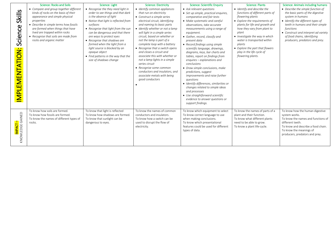| Skills<br>Science<br>EMENTATION:<br><b>TdMI</b> | <b>Science: Rocks and Soils</b><br>• Compare and group together different<br>kinds of rocks on the basis of their<br>appearance and simple physical<br>properties<br>• Describe in simple terms how fossils<br>are formed when things that have<br>lived are trapped within rocks<br>• Recognise that soils are made from<br>rocks and organic matter | <b>Science: Light</b><br>• Recognise the they need light in<br>order to see things and that dark<br>is the absence of light<br>• Notice that light is reflected from<br>surfaces<br>• Recognise that light from the sun<br>can be dangerous and that there<br>are ways to protect eyes<br>• Recognise that shadows are<br>formed when the light from a<br>light source is blocked by an<br>opaque object<br>• Find patterns in the way that the<br>size of shadows change | <b>Science: Electricity</b><br>• Identify common appliances<br>that run on electricity<br>• Construct a simple series<br>electrical circuit, identifying<br>and naming its basic parts<br>· Identify whether or not a lamp<br>will light in a simple series<br>circuit, based on whether or<br>not the lamp is part of a<br>complete loop with a battery<br>• Recognise that a switch opens<br>and closes a circuit and<br>associate this with whether or<br>not a lamp lights in a simple<br>series circuit<br>• Recognise some common<br>conductors and insulators, and<br>associate metals with being<br>good conductors | <b>Science: Scientific Enquiry</b><br>• Ask relevant questions<br>• Set up simple, practical enquires,<br>comparative and fair tests<br>• Make systematic and careful<br>observations, take accurate<br>measurements using a range of<br>equipment.<br>• Gather, record, classify and<br>present data<br>• Record findings using simple<br>scientific language, drawings,<br>diagrams, keys, bar charts and<br>tables, report on findings from<br>$enquires$ - $explanations$ and<br>conclusions<br>• Draw simple conclusions, make<br>predictions, suggest<br>improvements and raise further<br>auestions<br>· Identify differences, similarities or<br>changes related to simple ideas<br>and processes<br>• Use straightforward scientific<br>evidence to answer questions or<br>support findings. | <b>Science: Plants</b><br>• Identify and describe the<br>functions of different parts of<br>flowering plants<br>• Explore the requirements of<br>plants for life and growth and<br>how they vary from plant to<br>plant<br>• Investigate the way in which<br>water is transported within<br>plants<br>• Explore the part that flowers<br>play in the life cycle of<br>flowering plants. | <b>Science: Animals including humans</b><br>• Describe the simple function of<br>the basic parts of the digestive<br>system in humans<br>• Identify the different types of<br>teeth in humans and their simple<br>functions<br>• Construct and interpret ad variety<br>of food chains, identifying<br>producers, predators and prey. |
|-------------------------------------------------|-------------------------------------------------------------------------------------------------------------------------------------------------------------------------------------------------------------------------------------------------------------------------------------------------------------------------------------------------------|---------------------------------------------------------------------------------------------------------------------------------------------------------------------------------------------------------------------------------------------------------------------------------------------------------------------------------------------------------------------------------------------------------------------------------------------------------------------------|-----------------------------------------------------------------------------------------------------------------------------------------------------------------------------------------------------------------------------------------------------------------------------------------------------------------------------------------------------------------------------------------------------------------------------------------------------------------------------------------------------------------------------------------------------------------------------------------------------------------------------|-------------------------------------------------------------------------------------------------------------------------------------------------------------------------------------------------------------------------------------------------------------------------------------------------------------------------------------------------------------------------------------------------------------------------------------------------------------------------------------------------------------------------------------------------------------------------------------------------------------------------------------------------------------------------------------------------------------------------------------------------------------------------------------------------------|-----------------------------------------------------------------------------------------------------------------------------------------------------------------------------------------------------------------------------------------------------------------------------------------------------------------------------------------------------------------------------------------|--------------------------------------------------------------------------------------------------------------------------------------------------------------------------------------------------------------------------------------------------------------------------------------------------------------------------------------|
| <mark>IMPACT –</mark><br>KNOWLEDGE GAINED       | To know how soils are formed.<br>To know how fossils are formed.<br>To know the names of different types of<br>rocks.                                                                                                                                                                                                                                 | To know that light is reflected<br>To know how shadows are formed.<br>To know that sunlight can be<br>dangerous to eyes.                                                                                                                                                                                                                                                                                                                                                  | To know the names of common<br>conductors and insulators.<br>To know how a switch can be<br>used to disrupt the flow of<br>electricity.                                                                                                                                                                                                                                                                                                                                                                                                                                                                                     | To know which equipment to select<br>To know correct language to use<br>when making conclusions.<br>To know which presentational<br>features could be used for different<br>types of data.                                                                                                                                                                                                                                                                                                                                                                                                                                                                                                                                                                                                            | To know the names of parts of a<br>plant and their function.<br>To know what different plants<br>need to be able to grow.<br>To know a plant life-cycle.                                                                                                                                                                                                                                | To know how the human digestive<br>system works.<br>To know the names and functions of<br>different teeth.<br>To know and describe a food chain.<br>To know the meanings of<br>producers, predators and prey.                                                                                                                        |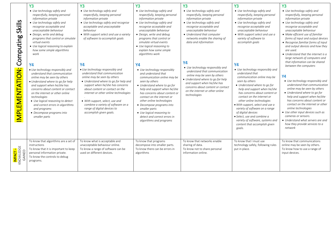|                                              | <b>Y3</b>                                                                                                                                                                                                                                                                                                                                                                                                         | Y <sub>3</sub>                                                                                                                                                                                                                                                                                                                                                                                             | Y3                                                                                                                                                                                                                                                                                                                                                                                                                   | <b>Y3</b>                                                                                                                                                                                                                                                                      | <b>Y3</b>                                                                                                                                                                                                                                                                                                                                                                                                                                                                               | <b>Y3</b>                                                                                                                                                                                                                                                                                                                                                                                                                                            |
|----------------------------------------------|-------------------------------------------------------------------------------------------------------------------------------------------------------------------------------------------------------------------------------------------------------------------------------------------------------------------------------------------------------------------------------------------------------------------|------------------------------------------------------------------------------------------------------------------------------------------------------------------------------------------------------------------------------------------------------------------------------------------------------------------------------------------------------------------------------------------------------------|----------------------------------------------------------------------------------------------------------------------------------------------------------------------------------------------------------------------------------------------------------------------------------------------------------------------------------------------------------------------------------------------------------------------|--------------------------------------------------------------------------------------------------------------------------------------------------------------------------------------------------------------------------------------------------------------------------------|-----------------------------------------------------------------------------------------------------------------------------------------------------------------------------------------------------------------------------------------------------------------------------------------------------------------------------------------------------------------------------------------------------------------------------------------------------------------------------------------|------------------------------------------------------------------------------------------------------------------------------------------------------------------------------------------------------------------------------------------------------------------------------------------------------------------------------------------------------------------------------------------------------------------------------------------------------|
| Skills<br>Computing                          | • Use technology safely and<br>respectfully, keeping personal<br>information private<br>• Use technology safely and<br>recognise acceptable and<br>unacceptable behaviour<br>• Design, write and debug<br>programs that control or simulate<br>virtual events<br>• Use logical reasoning to explain<br>how some simple algorithms<br>work                                                                         | • Use technology safely and<br>respectfully, keeping personal<br>information private<br>• Use technology safely and recognise<br>acceptable and unacceptable<br>behaviour<br>• With support select and use a variety<br>of software to accomplish goals                                                                                                                                                    | • Use technology safely and<br>respectfully, keeping personal<br>information private<br>• Use technology safely and<br>recognise acceptable and<br>unacceptable behaviour<br>· Design, write and debug<br>programs that control or<br>simulate virtual events<br>• Use logical reasoning to<br>explain how some simple<br>algorithms work                                                                            | • Use technology safely and<br>respectfully, keeping personal<br>information private<br>• Use technology safely and<br>recognise acceptable and<br>unacceptable behaviour<br>• Understand that computer<br>networks enable the sharing of<br>data and information<br><b>Y4</b> | • Use technology safely and<br>respectfully, keeping personal<br>information private<br>• Use technology safely and<br>recognise acceptable and<br>unacceptable behaviour<br>• With support select and use a<br>variety of software to<br>accomplish goals                                                                                                                                                                                                                              | • Use technology safely and<br>respectfully, keeping personal<br>information private<br>• Use technology safely and<br>recognise acceptable and<br>unacceptable behaviour<br>• Make efficient use of familiar<br>forms of input and output devices<br>• Recognise familiar forms of input<br>and output devices and how they<br>are used.<br>• Understand that the internet is a<br>large network of computers and<br>that information can be shared |
| <b>MPLEMENTATION:</b>                        | <b>Y4</b><br>• Use technology responsibly and<br>understand that communication<br>online may be seen by others<br>• Understand where to go for help<br>and support when he/she has<br>concerns about content or contact<br>on the internet or other online<br>technologies<br>• Use logical reasoning to detect<br>and correct errors in algorithms<br>and programs<br>• Decompose programs into<br>smaller parts | <b>Y4</b><br>• Use technology responsibly and<br>understand that communication<br>online may be seen by others<br>• Understand where to go for help and<br>support when he/she has concerns<br>about content or contact on the<br>internet or other online technologies<br>• With support, select, use and<br>combine a variety of software on a<br>range of digital devices to<br>accomplish given goals. | <b>Y4</b><br>• Use technology responsibly<br>and understand that<br>communication online may be<br>seen by others<br>• Understand where to go for<br>help and support when he/she<br>has concerns about content or<br>contact on the internet or<br>other online technologies<br>• Decompose programs into<br>smaller parts<br>• Use logical reasoning to<br>detect and correct errors in<br>algorithms and programs | • Use technology responsibly and<br>understand that communication<br>online may be seen by others<br>• Understand where to go for help<br>and support when he/she has<br>concerns about content or contact<br>on the internet or other online<br>technologies                  | <b>Y4</b><br>• Use technology responsibly and<br>understand that<br>communication online may be<br>seen by others<br>• Understand where to go for<br>help and support when he/she<br>has concerns about content or<br>contact on the internet or<br>other online technologies<br>· With support, select and use a<br>variety of software on a range<br>of digital devices<br>• Select, use and combine a<br>variety of software, systems and<br>content that accomplish given<br>goals. | between the computers<br>Υ4<br>• Use technology responsibly and<br>understand that communication<br>online may be seen by others<br>• Understand where to go for<br>help and support when he/she<br>has concerns about content or<br>contact on the internet or other<br>online technologies<br>• Use other input devices such as<br>cameras or sensors.<br>• Understand what servers are and<br>how they provide services to a<br>network           |
| <mark>IMPACT –</mark><br>KNOWLEDGE<br>GAINED | To know that algorithms are a set of<br>instructions<br>To know that it is important to keep<br>personal information private.<br>To know the controls to debug<br>programs.                                                                                                                                                                                                                                       | To know what is acceptable and<br>unacceptable behaviour online.<br>To know a range of software can be<br>used on different devices.                                                                                                                                                                                                                                                                       | To know that programs<br>decompose into smaller parts.<br>To know there can be errors in<br>algorithms                                                                                                                                                                                                                                                                                                               | To know that networks enable<br>sharing of data.<br>To know not to share personal<br>information online.                                                                                                                                                                       | To know that I must use<br>technology safely, following rules<br>put in place.                                                                                                                                                                                                                                                                                                                                                                                                          | To know that communications<br>online may be seen by others.<br>To know how to use a range of<br>input devices.                                                                                                                                                                                                                                                                                                                                      |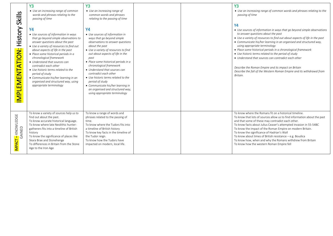| Skills                                    | <b>Y3</b><br>• Use an increasing range of common<br>words and phrases relating to the<br>passing of time                                                                                                                                                                                                                                                                                                                                                                                                        | Y <sub>3</sub><br>• Use an increasing range of<br>common words and phrases<br>relating to the passing of time                                                                                                                                                                                                                                                                                                                                                                                                         |  | Y <sub>3</sub><br>• Use an increasing range of common words and phrases relating to the<br>passing of time<br><b>Y4</b>                                                                                                                                                                                                                                                                                                                                                                                                                                                                                                      |
|-------------------------------------------|-----------------------------------------------------------------------------------------------------------------------------------------------------------------------------------------------------------------------------------------------------------------------------------------------------------------------------------------------------------------------------------------------------------------------------------------------------------------------------------------------------------------|-----------------------------------------------------------------------------------------------------------------------------------------------------------------------------------------------------------------------------------------------------------------------------------------------------------------------------------------------------------------------------------------------------------------------------------------------------------------------------------------------------------------------|--|------------------------------------------------------------------------------------------------------------------------------------------------------------------------------------------------------------------------------------------------------------------------------------------------------------------------------------------------------------------------------------------------------------------------------------------------------------------------------------------------------------------------------------------------------------------------------------------------------------------------------|
| History<br><b>MPLEMENTATION:</b>          | <b>Y4</b><br>• Use sources of information in ways<br>that go beyond simple observations to<br>answer questions about the past<br>• Use a variety of resources to find out<br>about aspects of life in the past<br>• Place some historical periods in a<br>chronological framework<br>• Understand that sources can<br>contradict each other<br>• Use historic terms related to the<br>period of study<br>• Communicate his/her learning in an<br>organised and structured way, using<br>appropriate terminology | <b>Y4</b><br>• Use sources of information in<br>ways that go beyond simple<br>observations to answer questions<br>about the past<br>• Use a variety of resources to find<br>out about aspects of life in the<br>past<br>• Place some historical periods in a<br>chronological framework<br>• Understand that sources can<br>contradict each other<br>• Use historic terms related to the<br>period of study<br>• Communicate his/her learning in<br>an organised and structured way,<br>using appropriate terminology |  | • Use sources of information in ways that go beyond simple observations<br>to answer questions about the past<br>• Use a variety of resources to find out about aspects of life in the past<br>• Communicate his/her learning in an organised and structured way,<br>using appropriate terminology<br>• Place some historical periods in a chronological framework<br>• Use historic terms related to the period of study<br>• Understand that sources can contradict each other<br>Describe the Roman Empire and its impact on Britain<br>Describe the fall of the Western Roman Empire and its withdrawal from<br>Britain. |
| <mark>IMPACT –</mark> KNOWLEDGE<br>GAINED | To know a variety of sources help us to<br>find out about the past.<br>To know accurate historical language.<br>To know where late Neolithic hunter-<br>gatherers fits into a timeline of British<br>history<br>To know the significance of places like<br>Skara Brae and Stonehenge<br>To differences in Britain from the Stone<br>Age to the Iron Age                                                                                                                                                         | To know a range of words and<br>phrases related to the passing of<br>time.<br>To know where the Tudors fits into<br>a timeline of British history<br>To know key facts in the timeline of<br>the Tudor reign.<br>To know how the Tudors have<br>impacted on modern, local life.                                                                                                                                                                                                                                       |  | To know where the Romans fit on a historical timeline.<br>To know that lots of sources allow us to find information about the past<br>and that some of these may contradict each other.<br>To know facts about Julius Ceaser's attempted invasion in 55-54BC<br>To know the impact of the Roman Empire on modern Britain.<br>To know the significance of Hadrian's Wall<br>To know about times of British resistance - e.g. Boudica<br>To know how, when and why the Romans withdrew from Britain<br>To know how the western Roman Empire fell                                                                               |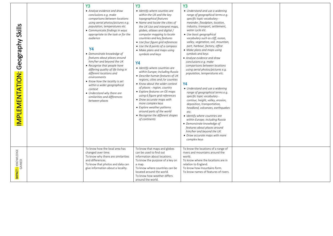| Skills<br>Geography<br>IMPLEMENTATION:    | Y <sub>3</sub><br>• Analyse evidence and draw<br>conclusions e.g. make<br>comparisons between locations<br>using aerial photos/pictures e.g.<br>population, temperatures etc.<br>• Communicate findings in ways<br>appropriate to the task or for the<br>audience<br><b>Y4</b><br>• Demonstrate knowledge of<br>features about places around<br>him/her and beyond the UK<br>• Recognise that people have<br>differing quality of life living in<br>different locations and<br>environments<br>• Know how the locality is set<br>within a wider geographical<br>context<br>• Understand why there are<br>similarities and differences<br>between places | <b>Y3</b><br>• Identify where counties are<br>within the UK and the key<br>topographical features<br>• Name and locate the cities of<br>the UK Use and interpret maps,<br>globes, atlases and digital /<br>computer mapping to locate<br>countries and key features<br>• Use four figure grid references<br>• Use the 8 points of a compass<br>• Make plans and maps using<br>symbols and keys<br><b>Y4</b><br>• Identify where countries are<br>within Europe; including Russia<br>• Describe human features of UK<br>regions, cities and /or counties<br>• Know about the wider context<br>of places - region, country<br>• Explore features on OS maps<br>using 6 figure grid references<br>• Draw accurate maps with<br>more complex keys<br>• Explore weather patterns<br>around parts of the world<br>• Recognise the different shapes<br>of continents | Y <sub>3</sub><br>• Understand and use a widening<br>range of geographical terms e.g.<br>specific topic vocabulary -<br>meander, floodplain, location,<br>industry, transport, settlement,<br>water cycle etc.<br>• Use basic geographical<br>vocabulary such as cliff, ocean,<br>valley, vegetation, soil, mountain,<br>port, harbour, factory, office<br>• Make plans and maps using<br>symbols and keys<br>• Analyse evidence and draw<br>conclusions e.g. make<br>comparisons between locations<br>using aerial photos/pictures e.g.<br>population, temperatures etc.<br><b>Y4</b><br>• Understand and use a widening<br>range of geographical terms e.g.<br>specific topic vocabulary -<br>contour, height, valley, erosion,<br>deposition, transportation,<br>headland, volcanoes, earthquakes<br>etc.<br>• Identify where countries are<br>within Europe; including Russia<br>• Demonstrate knowledge of<br>features about places around<br>him/her and beyond the UK<br>• Draw accurate maps with more<br>complex keys |  |
|-------------------------------------------|---------------------------------------------------------------------------------------------------------------------------------------------------------------------------------------------------------------------------------------------------------------------------------------------------------------------------------------------------------------------------------------------------------------------------------------------------------------------------------------------------------------------------------------------------------------------------------------------------------------------------------------------------------|---------------------------------------------------------------------------------------------------------------------------------------------------------------------------------------------------------------------------------------------------------------------------------------------------------------------------------------------------------------------------------------------------------------------------------------------------------------------------------------------------------------------------------------------------------------------------------------------------------------------------------------------------------------------------------------------------------------------------------------------------------------------------------------------------------------------------------------------------------------|--------------------------------------------------------------------------------------------------------------------------------------------------------------------------------------------------------------------------------------------------------------------------------------------------------------------------------------------------------------------------------------------------------------------------------------------------------------------------------------------------------------------------------------------------------------------------------------------------------------------------------------------------------------------------------------------------------------------------------------------------------------------------------------------------------------------------------------------------------------------------------------------------------------------------------------------------------------------------------------------------------------------------------|--|
| <mark>IMPACT –</mark> KNOWLEDGE<br>GAINED | To know how the local area has<br>changed over time.<br>To know why there are similarities<br>and differences.<br>To know that photos and data can<br>give information about a locality.                                                                                                                                                                                                                                                                                                                                                                                                                                                                | To know that maps and globes<br>can be used to find out<br>information about locations.<br>To know the purpose of a key on<br>a map.<br>To know where countries can be<br>located around the world.<br>To know how weather differs<br>around the world.                                                                                                                                                                                                                                                                                                                                                                                                                                                                                                                                                                                                       | To know the locations of a range of<br>rivers and mountains around the<br>world.<br>To know where the locations are in<br>relation to England.<br>To know how mountains form.<br>To know names of features of rivers.                                                                                                                                                                                                                                                                                                                                                                                                                                                                                                                                                                                                                                                                                                                                                                                                          |  |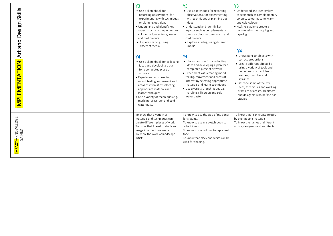| <b>Skills</b><br>Design<br>bue<br>Art<br>IMPLEMENTATION: |  | <b>Y3</b><br>• Use a sketchbook for<br>recording observations, for<br>experimenting with techniques<br>or planning out ideas<br>• Understand and identify key<br>aspects such as complementary<br>colours, colour as tone, warm<br>and cold colours<br>• Explore shading, using<br>different media<br><b>Y4</b><br>• Use a sketchbook for collecting<br>ideas and developing a plan<br>for a completed piece of<br>artwork<br>• Experiment with creating<br>mood, feeling, movement and<br>areas of interest by selecting<br>appropriate materials and<br>learnt techniques<br>· Use a variety of techniques e.g.<br>marbling, silkscreen and cold<br>water paste | <b>Y3</b><br>• Use a sketchbook for recording<br>observations, for experimenting<br>with techniques or planning out<br>ideas<br>• Understand and identify key<br>aspects such as complementary<br>colours, colour as tone, warm and<br>cold colours<br>• Explore shading, using different<br>media<br><b>Y4</b><br>• Use a sketchbook for collecting<br>ideas and developing a plan for a<br>completed piece of artwork<br>• Experiment with creating mood,<br>feeling, movement and areas of<br>interest by selecting appropriate<br>materials and learnt techniques<br>• Use a variety of techniques e.g.<br>marbling, silkscreen and cold<br>water paste | <b>Y3</b><br>• Understand and identify key<br>aspects such as complementary<br>colours, colour as tone, warm<br>and cold colours<br>• He/she is able to create a<br>collage using overlapping and<br>layering<br><b>Y4</b><br>• Draws familiar objects with<br>correct proportions<br>• Create different effects by<br>using a variety of tools and<br>techniques such as bleeds,<br>washes, scratches and<br>splashes<br>• Describe some of the key<br>ideas, techniques and working<br>practices of artists, architects<br>and designers who he/she has<br>studied |  |
|----------------------------------------------------------|--|-------------------------------------------------------------------------------------------------------------------------------------------------------------------------------------------------------------------------------------------------------------------------------------------------------------------------------------------------------------------------------------------------------------------------------------------------------------------------------------------------------------------------------------------------------------------------------------------------------------------------------------------------------------------|-------------------------------------------------------------------------------------------------------------------------------------------------------------------------------------------------------------------------------------------------------------------------------------------------------------------------------------------------------------------------------------------------------------------------------------------------------------------------------------------------------------------------------------------------------------------------------------------------------------------------------------------------------------|----------------------------------------------------------------------------------------------------------------------------------------------------------------------------------------------------------------------------------------------------------------------------------------------------------------------------------------------------------------------------------------------------------------------------------------------------------------------------------------------------------------------------------------------------------------------|--|
| <mark>IMPACT –</mark> KNOWLEDGE<br>GAINED                |  | To know that a variety of<br>materials and techniques can<br>create different pieces of work.<br>To know that I need to study an<br>image in order to recreate it.<br>To know the work of landscape<br>artists.                                                                                                                                                                                                                                                                                                                                                                                                                                                   | To know to use the side of my pencil<br>for shading.<br>To know to use my sketch book to<br>collect ideas.<br>To know to use colours to represent<br>tone.<br>To know that black and white can be<br>used for shading.                                                                                                                                                                                                                                                                                                                                                                                                                                      | To know that I can create texture<br>by overlapping materials.<br>To know the names of different<br>artists, designers and architects.                                                                                                                                                                                                                                                                                                                                                                                                                               |  |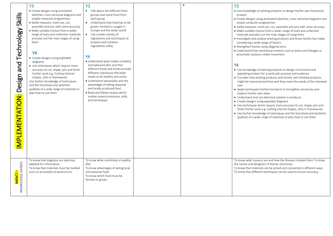|                                 | <b>Y3</b>                                                                                                                                                                                                                                                                                                                                                                | <b>Y3</b>                                                                                                                                                                                                                                                                                                                                                             |  | <b>Y3</b>                                                                                                                                                                                                                                                                                                                                                                                                                                                                                                                                                                                                                                                                                                                                                                                     |
|---------------------------------|--------------------------------------------------------------------------------------------------------------------------------------------------------------------------------------------------------------------------------------------------------------------------------------------------------------------------------------------------------------------------|-----------------------------------------------------------------------------------------------------------------------------------------------------------------------------------------------------------------------------------------------------------------------------------------------------------------------------------------------------------------------|--|-----------------------------------------------------------------------------------------------------------------------------------------------------------------------------------------------------------------------------------------------------------------------------------------------------------------------------------------------------------------------------------------------------------------------------------------------------------------------------------------------------------------------------------------------------------------------------------------------------------------------------------------------------------------------------------------------------------------------------------------------------------------------------------------------|
| and Technology Skills           | • Create designs using annotated<br>sketches, cross-sectional diagrams and<br>simple computer programmes<br>· Safely measure, mark out, cut,<br>assemble and join with some accuracy<br>· Make suitable choices from a wider<br>range of tools and unfamiliar materials<br>and plan out the main stages of using<br>them<br><b>Y4</b><br>• Create designs using exploded | • Talk about the different food<br>groups and name food from<br>each group<br>• Understand that food has to be<br>grown, farmed or caught in<br>Europe and the wider world<br>• Use a wider variety of<br>ingredients and techniques to<br>prepare and combine<br>ingredients safely<br><b>Y4</b>                                                                     |  | • Use knowledge of existing products to design his/her own functional<br>product<br>• Create designs using annotated sketches, cross-sectional diagrams and<br>simple computer programmes<br>• Safely measure, mark out, cut, assemble and join with some accuracy<br>• Make suitable choices from a wider range of tools and unfamiliar<br>materials and plan out the main stages of using them<br>• Investigate and analyse existing products and those he/she has made,<br>considering a wide range of factors<br>• Strengthen frames using diagonal strut<br>• Understand how mechanical systems such as levers and linkages or<br>pneumatic systems create movement                                                                                                                      |
| Design<br><b>MPLEMENTATION:</b> | diagrams<br>• Use techniques which require more<br>accuracy to cut, shape, join and finish<br>his/her work e.g. Cutting internal<br>shapes, slots in frameworks<br>Use his/her knowledge of techniques<br>and the functional and aesthetic<br>qualities of a wide range of materials to<br>plan how to use them                                                          | . Understand what makes a healthy<br>and balanced diet, and that<br>different foods and drinks provide<br>different substances the body<br>needs to be healthy and active<br>. Understand seasonality and the<br>advantages of eating seasonal<br>and locally produced food<br>• Read and follow recipes which<br>involve several processes, skills<br>and techniques |  | <b>Y4</b><br>• Use knowledge of existing products to design a functional and<br>appealing product for a particular purpose and audience<br>• Consider how existing products and his/her own finished products<br>might be improved and how well they meet the needs of the intended<br>user<br>• Apply techniques he/she has learnt to strengthen structures and<br>explore his/her own ideas<br>• Understand and use electrical systems in products<br>• Create designs using exploded diagrams<br>• Use techniques which require more accuracy to cut, shape, join and<br>finish his/her work e.g. Cutting internal shapes, slots in frameworks<br>• Use his/her knowledge of techniques and the functional and aesthetic<br>qualities of a wide range of materials to plan how to use them |
| KNOWLEDGE GAINED<br>IMPACT-     | To know that diagrams are sketches,<br>labelled for information.<br>To know that materials must be marked<br>and cut accurately to avoid errors.                                                                                                                                                                                                                         | To know what constitutes a healthy<br>diet.<br>To know advantages of eating local<br>and seasonal food.<br>To know which food must be<br>farmed or grown.                                                                                                                                                                                                             |  | To know what mosaics are and how the Romans created them To know<br>the names and designers of Roman structures.<br>To know that materials can be joined and connected in different ways.<br>To know that different techniques can be used to ensure accuracy.                                                                                                                                                                                                                                                                                                                                                                                                                                                                                                                                |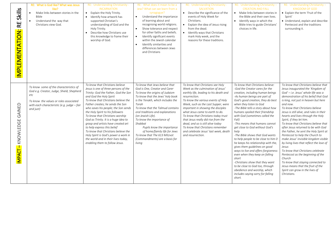| Skills<br>$\mathbf{E}$<br>IMPLEMENTATION: | RE: What is God like? What was Jesus<br>like?<br>Make links between stories in the<br>Bible<br>Understand the way that<br>Christians view God.                                                     | RE: Understanding Christianity -<br><b>INCARNATION</b><br>• Explain the Holy Trinity.<br>• Identify how artwork has<br>supported Christian's<br>understanding of God and the<br>Holy Trinity.<br>Describe how Christians use<br>$\bullet$<br>this knowledge to frame their<br>worship of God.                                                                                                                                                                                                                                                                                                            | RE: What does it mean to be a<br>Jew? What can we learn from a<br>synagogue?<br>Understand the importance<br>of learning about and<br>recognising world religions.<br>Show tolerance and respect<br>for other faiths and beliefs.<br>Identify significant events<br>$\bullet$<br>within the Jewish calendar<br>Identify similarities and<br>differences between Jews<br>and Christians                                                                             | RE: Understanding Christianity -<br><b>SALVATION</b><br>• Describe the significance of the<br>events of Holy Week for<br>Christians.<br>• Explain the idea of Jesus rising<br>from the dead.<br>• Identify ways that Christians<br>mark Holy week, and the<br>reasons for these traditions.                                                                                                                                                                                                                 | RE: Understanding Christianity -<br><b>CREATION AND FALL</b><br>• Make links between stories in<br>the Bible and their own lives.<br>• Identify ways in which the<br>Bible tries to guide Christians'<br>choices in life.                                                                                                                                                                                                                                                                                                                                                                                                                                                                                                                                                                       | RE: Understanding Christianity -<br><b>KINGDOM OF GOD</b><br>• Explain the term 'Fruit of the<br>Spirit'<br>· Understand, explain and describe<br>Pentecost and the traditions<br>surrounding it.                                                                                                                                                                                                                                                                                                                                                                                                                                                                                                                                                                                                                                      |
|-------------------------------------------|----------------------------------------------------------------------------------------------------------------------------------------------------------------------------------------------------|----------------------------------------------------------------------------------------------------------------------------------------------------------------------------------------------------------------------------------------------------------------------------------------------------------------------------------------------------------------------------------------------------------------------------------------------------------------------------------------------------------------------------------------------------------------------------------------------------------|--------------------------------------------------------------------------------------------------------------------------------------------------------------------------------------------------------------------------------------------------------------------------------------------------------------------------------------------------------------------------------------------------------------------------------------------------------------------|-------------------------------------------------------------------------------------------------------------------------------------------------------------------------------------------------------------------------------------------------------------------------------------------------------------------------------------------------------------------------------------------------------------------------------------------------------------------------------------------------------------|-------------------------------------------------------------------------------------------------------------------------------------------------------------------------------------------------------------------------------------------------------------------------------------------------------------------------------------------------------------------------------------------------------------------------------------------------------------------------------------------------------------------------------------------------------------------------------------------------------------------------------------------------------------------------------------------------------------------------------------------------------------------------------------------------|----------------------------------------------------------------------------------------------------------------------------------------------------------------------------------------------------------------------------------------------------------------------------------------------------------------------------------------------------------------------------------------------------------------------------------------------------------------------------------------------------------------------------------------------------------------------------------------------------------------------------------------------------------------------------------------------------------------------------------------------------------------------------------------------------------------------------------------|
| KNOWLEDGE GAINED<br>MPACT-                | To know some of the characteristics of<br>God e.g. Creator, Judge, Shield, Shepherd<br>etc<br>To know the values or roles associated<br>with each characteristic (e.g. judge $-$ fair<br>and just) | To know that Christians believe<br>Jesus is one of three persons of the<br>Trinity: God the Father, God the Son<br>and God the Holy Spirit<br>To know that Christians believe the<br>Father creates; he sends the Son<br>who saves his people; the Son sends<br>the Holy Spirit to his followers<br>To know that Christians worship<br>God as Trinity. It is a huge idea to<br>grasp and artists have created art<br>to help express this belief<br>To know that Christians believe the<br>Holy Spirit is God's power a work in<br>the world and in their lives today,<br>enabling them to follow Jesus. | To know that Jews believe that<br>God is One, Creator and Carer<br>To know the origins of Judaism<br>To know that the Jews' holy book<br>is the Tenakh, which includes the<br>Torah<br>To know that the Talmud contains<br>oral traditions and explanations<br>(on Jewish Life).<br>To know the importance of<br>Shabbat<br>Pupils know the importance<br>of home/family life for Jews<br>To know that The 613 Mitzvot<br>(Commandments) are a basis for<br>livina | To know that Christians see Holy<br>Week as the culmination of Jesus'<br>earthly life, leading to his death and<br>resurrection.<br>To know the various events of Holy<br>Week, such as the Last Supper, were<br>important in showing the disciples<br>what Jesus came to earth to do.<br>To know that Christians today trust<br>that Jesus really did rise from the<br>dead, and so is still alive today<br>To know that Christians remember<br>and celebrate Jesus' last week, death<br>and resurrection. | To know that Christians believe:<br>-God the Creator cares for the<br>creation, including human beings<br>-As human beings are part of<br>God's good creation, they do best<br>when they listen to God<br>-The Bible tells a story about how<br>humans spoiled their friendship<br>with God (sometimes called the<br>Fall)<br>-This means that humans cannot<br>get close to God without God's<br>help<br>-The Bible shows that God wants<br>to help people to be close to him 0<br>he keeps his relationship with the,<br>gives them guidelines on good<br>ways to live and offers forgiveness<br>even when they keep on falling<br>short<br>-Christians show that they want<br>to be close to God too, through<br>obedience and worship, which<br>includes saying sorry for falling<br>short. | To know that Christians believe that<br>Jesus inaugurated the 'Kingdom of<br>God' - i.e. Jesus' whole life was a<br>demonstration of his belief that God<br>is king, not just in heaven but here<br>and now.<br>To know that Christians believe<br>Jesus is still alive, and rules in their<br>hearts and lives through the Holy<br>Spirit, if they let him.<br>To know that Christians believe that<br>after Jesus returned to be with God<br>the Father, he sent the Holy Spirit at<br>Pentecost to help the Church to<br>make Jesus' invisible kingdom visible<br>by living lives that reflect the love of<br>Jesus<br>To know that Christians celebrate<br>Pentecost as the beginning of the<br>Church<br>To know that staying connected to<br>Jesus means that the fruit of the<br>Spirit can grow in the lives of<br>Christians. |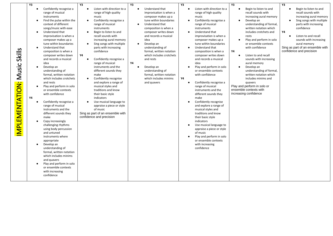|                                           | Y3 |                                                                                                                                                                                                                                                                                                                                                                                                                                                                                                                                                                                                                                                                                                                                                                                                                                                                                                                                                                                                                                                              | Y3                                                                                                                                                                                                                                                                                                                                                                                                                                                                                                                                                                                                                                                                                                                                         | Y3                                                                                                                                                                                                                                                                                                                                                                                                                                                                      | Y3                                                                                                                                                                                                                                                                                                                                                                                                                                                                                                                                                                                                                                                                                                                                                                                                                                                    | Y3                                                                                                                                                                                                                                                                                                                                                                                                                                                                                                                                                                        | Y3                                                                                                                                                                                                                                                                                              |
|-------------------------------------------|----|--------------------------------------------------------------------------------------------------------------------------------------------------------------------------------------------------------------------------------------------------------------------------------------------------------------------------------------------------------------------------------------------------------------------------------------------------------------------------------------------------------------------------------------------------------------------------------------------------------------------------------------------------------------------------------------------------------------------------------------------------------------------------------------------------------------------------------------------------------------------------------------------------------------------------------------------------------------------------------------------------------------------------------------------------------------|--------------------------------------------------------------------------------------------------------------------------------------------------------------------------------------------------------------------------------------------------------------------------------------------------------------------------------------------------------------------------------------------------------------------------------------------------------------------------------------------------------------------------------------------------------------------------------------------------------------------------------------------------------------------------------------------------------------------------------------------|-------------------------------------------------------------------------------------------------------------------------------------------------------------------------------------------------------------------------------------------------------------------------------------------------------------------------------------------------------------------------------------------------------------------------------------------------------------------------|-------------------------------------------------------------------------------------------------------------------------------------------------------------------------------------------------------------------------------------------------------------------------------------------------------------------------------------------------------------------------------------------------------------------------------------------------------------------------------------------------------------------------------------------------------------------------------------------------------------------------------------------------------------------------------------------------------------------------------------------------------------------------------------------------------------------------------------------------------|---------------------------------------------------------------------------------------------------------------------------------------------------------------------------------------------------------------------------------------------------------------------------------------------------------------------------------------------------------------------------------------------------------------------------------------------------------------------------------------------------------------------------------------------------------------------------|-------------------------------------------------------------------------------------------------------------------------------------------------------------------------------------------------------------------------------------------------------------------------------------------------|
| Skills<br>Music<br><b>IMPLEMENTATION:</b> | Υ4 | Confidently recognise a<br>range of musical<br>instruments<br>Find the pulse within the<br>$\bullet$<br>context of different<br>songs/music with ease<br>Understand that<br>$\bullet$<br>improvisation is when a<br>composer makes up a<br>tune within boundaries<br>Understand that<br>$\bullet$<br>composition is when a<br>composer writes down<br>and records a musical<br>idea<br>Develop an<br>$\bullet$<br>understanding of<br>formal, written notation<br>which includes crotchets<br>and rests<br>Play and perform in solo<br>$\bullet$<br>or ensemble contexts<br>with confidence<br>Confidently recognise a<br>$\bullet$<br>range of musical<br>instruments and the<br>different sounds they<br>make<br>Copy increasingly<br>$\bullet$<br>challenging rhythms<br>using body percussion<br>and untuned<br>instruments where<br>appropriate<br>Develop an<br>$\bullet$<br>understanding of<br>formal, written notation<br>which includes minims<br>and quavers<br>Play and perform in solo<br>or ensemble contexts<br>with increasing<br>confidence | Listen with direction to a<br>$\bullet$<br>range of high quality<br>music<br>Confidently recognise a<br>$\bullet$<br>range of musical<br>instruments<br>Begin to listen to and<br>$\bullet$<br>recall sounds with<br>increasing aural memory<br>Sing songs with multiple<br>$\bullet$<br>parts with increasing<br>confidence<br>Υ4<br>Confidently recognise a<br>range of musical<br>instruments and the<br>different sounds they<br>make<br>Confidently recognise<br>$\bullet$<br>and explore a range of<br>musical styles and<br>traditions and know<br>their basic style<br>indicators<br>Use musical language to<br>$\bullet$<br>appraise a piece or style<br>of music<br>Sing as part of an ensemble with<br>confidence and precision | Understand that<br>$\bullet$<br>improvisation is when a<br>composer makes up a<br>tune within boundaries<br>Understand that<br>$\bullet$<br>composition is when a<br>composer writes down<br>and records a musical<br>idea<br>Develop an<br>$\bullet$<br>understanding of<br>formal, written notation<br>which includes crotchets<br>and rests<br>Υ4<br>Develop an<br>$\bullet$<br>understanding of<br>formal, written notation<br>which includes minims<br>and quavers | Listen with direction to a<br>$\bullet$<br>range of high quality<br>music<br>Confidently recognise a<br>$\bullet$<br>range of musical<br>instruments<br>Understand that<br>improvisation is when a<br>composer makes up a<br>tune within boundaries<br>Understand that<br>composition is when a<br>composer writes down<br>and records a musical<br>idea<br>Play and perform in solo<br>or ensemble contexts<br>with confidence<br>Υ4<br>Confidently recognise a<br>$\bullet$<br>range of musical<br>instruments and the<br>different sounds they<br>make<br>Confidently recognise<br>and explore a range of<br>musical styles and<br>traditions and know<br>their basic style<br>indicators<br>Use musical language to<br>appraise a piece or style<br>of music<br>Play and perform in solo<br>or ensemble contexts<br>with increasing<br>confidence | Begin to listen to and<br>recall sounds with<br>increasing aural memory<br>Develop an<br>$\bullet$<br>understanding of formal,<br>written notation which<br>includes crotchets and<br>rests<br>Play and perform in solo<br>$\bullet$<br>or ensemble contexts<br>with confidence<br>Y4<br>Listen to and recall<br>$\bullet$<br>sounds with increasing<br>aural memory<br>Develop an<br>$\bullet$<br>understanding of formal,<br>written notation which<br>includes minims and<br>quavers<br>Play and perform in solo or<br>ensemble contexts with<br>increasing confidence | Begin to listen to and<br>$\bullet$<br>recall sounds with<br>increasing aural memory<br>Sing songs with multiple<br>parts with increasing<br>confidence<br>Υ4<br>Listen to and recall<br>sounds with increasing<br>aural memory<br>Sing as part of an ensemble with<br>confidence and precision |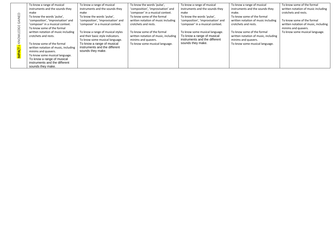|               | To know a range of musical           | To know a range of musical         | To know the words 'pulse',           | To know a range of musical         | To know a range of musical           | To know some of the formal           |
|---------------|--------------------------------------|------------------------------------|--------------------------------------|------------------------------------|--------------------------------------|--------------------------------------|
|               | instruments and the sounds they      | instruments and the sounds they    | 'composition', 'improvisation' and   | instruments and the sounds they    | instruments and the sounds they      | written notation of music including  |
| $\supset$     | make                                 | make                               | 'composer' in a musical context.     | make                               | make.                                | crotchets and rests.                 |
|               | To know the words 'pulse',           | To know the words 'pulse',         | To know some of the formal           | To know the words 'pulse',         | To know some of the formal           |                                      |
| <b>AINEI</b>  | 'composition', 'improvisation' and   | 'composition', 'improvisation' and | written notation of music including  | 'composition', 'improvisation' and | written notation of music including  | To know some of the formal           |
|               | 'composer' in a musical context.     | 'composer' in a musical context.   | crotchets and rests.                 | 'composer' in a musical context.   | crotchets and rests.                 | written notation of music, including |
|               | To know some of the formal           |                                    |                                      |                                    |                                      | minims and quavers.                  |
|               | written notation of music including  | To know a range of musical styles  | To know some of the formal           | To know some musical language.     | To know some of the formal           | To know some musical language.       |
|               | crotchets and rests.                 | and their basic style indicators.  | written notation of music, including | To know a range of musical         | written notation of music, including |                                      |
| KNC           |                                      | To know some musical language.     | minims and quavers.                  | instruments and the different      | minims and quavers.                  |                                      |
|               | To know some of the formal           | To know a range of musical         | To know some musical language.       | sounds they make.                  | To know some musical language.       |                                      |
|               | written notation of music, including | instruments and the different      |                                      |                                    |                                      |                                      |
|               | minims and quavers.                  | sounds they make.                  |                                      |                                    |                                      |                                      |
| <b>IMPACT</b> | To know some musical language.       |                                    |                                      |                                    |                                      |                                      |
|               | To know a range of musical           |                                    |                                      |                                    |                                      |                                      |
|               | instruments and the different        |                                    |                                      |                                    |                                      |                                      |
|               | sounds they make.                    |                                    |                                      |                                    |                                      |                                      |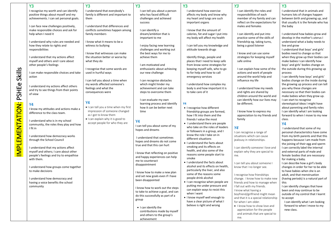|                        | <b>Y3</b>                                                                  | <b>Y3</b>                                               | Y <sub>3</sub>                                            | <b>Y3</b>                                                       | Y3                                                                       | <b>Y3</b>                                                            |
|------------------------|----------------------------------------------------------------------------|---------------------------------------------------------|-----------------------------------------------------------|-----------------------------------------------------------------|--------------------------------------------------------------------------|----------------------------------------------------------------------|
|                        | I recognise my worth and can identify                                      | I understand that everybody's                           | I can tell you about a person                             | I understand how exercise                                       | I can identify the roles and                                             | I understand that in animals and                                     |
|                        | positive things about myself and my                                        | family is different and important to                    | who has faced difficult                                   | affects my body and know why                                    | responsibilities of each                                                 | humans lots of changes happen                                        |
|                        | achievements. I can set personal goals.                                    | them                                                    | challenges and achieved                                   | my heart and lungs are such                                     | member of my family and can                                              | between birth and growing up, and                                    |
|                        |                                                                            |                                                         | success                                                   | important organs                                                | reflect on the expectations for                                          | that usually it is the female who has                                |
|                        | I can face new challenges positively,                                      | I understand that differences and                       |                                                           |                                                                 | males and females                                                        | the baby                                                             |
|                        | make responsible choices and ask for<br>help when I need it                | conflicts sometimes happen among<br>family members      | I can identify a<br>dream/ambition that is                | I know that the amount of<br>calories, fat and sugar I put into | I can identify and put into                                              | I understand how babies grow and                                     |
|                        |                                                                            |                                                         | important to me                                           | my body will affect my health                                   | practice some of the skills of                                           | develop in the mother's uterus I                                     |
|                        | I understand why rules are needed and                                      | I know what it means to be a                            |                                                           |                                                                 | friendship eg. taking turns,                                             | understand what a baby needs to                                      |
|                        | how they relate to rights and                                              | witness to bullying                                     | I enjoy facing new learning                               | I can tell you my knowledge and                                 | being a good listener                                                    | live and grow                                                        |
|                        | responsibilities                                                           |                                                         | challenges and working out                                | attitude towards drugs                                          |                                                                          | I understand that boys' and girls'                                   |
|                        |                                                                            | I know that witnesses can make                          | the best ways for me to                                   |                                                                 | I know and can use some                                                  | bodies need to change so that                                        |
|                        | I understand that my actions affect                                        | the situation better or worse by                        | achieve them                                              | Identify things, people and                                     | strategies for keeping myself                                            | when they grow up their bodies can                                   |
|                        | myself and others and I care about                                         | what they do                                            |                                                           | places that I need to keep safe                                 | safe online                                                              | make babies I can identify how                                       |
|                        | other people's feelings                                                    |                                                         | I am motivated and                                        | from know some strategies for                                   |                                                                          | boys' and girls' bodies change on                                    |
|                        | I can make responsible choices and take                                    | I recognise that some words are<br>used in hurtful ways | enthusiastic about achieving<br>our new challenge         | keeping myself safe, who to go<br>to for help and how to call   | I can explain how some of the<br>actions and work of people              | the outside during this growing up<br>process                        |
|                        | action                                                                     |                                                         |                                                           | emergency services                                              | around the world help and                                                | I can identify how boys' and girls'                                  |
| Skills                 |                                                                            | I can tell you about a time when                        | I can recognise obstacles                                 |                                                                 | influence my life                                                        | bodies change on the inside during                                   |
| PSHEe                  |                                                                            | my words affected someone's                             | which might hinder my                                     | I understand how complex my                                     |                                                                          | the growing up process and can tell                                  |
|                        | I understand my actions affect others                                      | feelings and what the                                   | achievement and can take                                  | body is and how important it is                                 | I understand how my needs                                                | you why these changes are                                            |
|                        | and try to see things from their points<br>of view                         | consequences were                                       | steps to overcome them                                    | to take care of it                                              | and rights are shared by                                                 | necessary so that their bodies can                                   |
|                        |                                                                            |                                                         |                                                           |                                                                 | children around the world and                                            | make babies when they grow up.                                       |
|                        |                                                                            | <b>Y4</b>                                               | I can evaluate my own                                     |                                                                 | can identify how our lives may                                           | I can start to recognise                                             |
|                        | Y4                                                                         | • I can tell you a time when my first                   | learning process and identify                             | Υ4                                                              | be different.                                                            | stereotypical ideas I might have                                     |
|                        | I know my attitudes and actions make a                                     | impression of someone changed                           | how it can be better next<br>time                         | • I recognise how different<br>friendship groups are formed,    | I know how to express my                                                 | about parenting and family roles<br>I can identify what I am looking |
|                        | difference to the class team.                                              | as I got to know them                                   |                                                           | how I fit into them and the                                     | appreciation to my friends and                                           | forward to when I move to my new                                     |
|                        |                                                                            | . I can explain why it is good to                       |                                                           | friends I value the most                                        | family                                                                   | class.                                                               |
|                        | I understand who is in my school<br>community, the roles they play and how | accept people for who they are                          | <b>Y4</b>                                                 | • I understand there are people                                 |                                                                          | <b>Y4</b>                                                            |
|                        | I fit in                                                                   |                                                         | I can tell you about some of my                           | who take on the roles of leaders                                | <b>Y4</b>                                                                | I understand that some of my                                         |
|                        |                                                                            |                                                         | hopes and dreams                                          | or followers in a group, and I                                  | I can recognise a range of                                               | personal characteristics have come                                   |
| <b>IMPLEMENTATION:</b> | I understand how democracy works                                           |                                                         | I understand that sometimes                               | know the role I take on in                                      | situations which can cause                                               | from my birth parents and that this                                  |
|                        | through the School Council                                                 |                                                         | hopes and dreams do not come                              | different situations                                            | jealousy in relationships.                                               | happens because I am made from                                       |
|                        |                                                                            |                                                         | true and that this can hurt                               | • I understand the facts about                                  |                                                                          | the joining of their egg and sperm                                   |
|                        | I understand that my actions affect                                        |                                                         |                                                           | smoking and its effects on<br>health, and also some of the      | I can identify someone I love and                                        | I can correctly label the internal                                   |
|                        | myself and others; I care about other                                      |                                                         | I know that reflecting on positive                        | reasons some people start to                                    | explain why they are special to                                          | and external parts of male and                                       |
|                        | people's feelings and try to empathise<br>with them.                       |                                                         | and happy experiences can help                            | smoke                                                           | me.                                                                      | female bodies that are necessary<br>for making a baby.               |
|                        |                                                                            |                                                         | me to counteract                                          | • I understand the facts about                                  | I can tell you about someone I                                           | I can describe how a girl's body                                     |
|                        | I understand how groups come together                                      |                                                         | disappointment                                            | alcohol and its effects on health,                              | know that I no longer see.                                               | changes in order for her to be able                                  |
|                        | to make decisions                                                          |                                                         | I know how to make a new plan                             | particularly the liver, and also                                |                                                                          | to have babies when she is an                                        |
|                        |                                                                            |                                                         | and set new goals even if I have                          | some of the reasons some                                        | I recognise how friendships                                              | adult, and that menstruation                                         |
|                        | I understand how democracy and                                             |                                                         | been disappointed                                         | people drink alcohol                                            | change. I know how to make new                                           | (having periods) is a natural part of                                |
|                        | having a voice benefits the school                                         |                                                         |                                                           | • I can recognise when people are                               | friends and how to manage when                                           | this                                                                 |
|                        | community                                                                  |                                                         | I know how to work out the steps                          | putting me under pressure and                                   | I fall out with my friends.                                              | I can identify changes that have                                     |
|                        |                                                                            |                                                         | to take to achieve a goal, and can                        | can explain ways to resist this<br>when I want                  | I know what having a                                                     | been and may continue to be                                          |
|                        |                                                                            |                                                         | do this successfully as part of a                         | . I know myself well enough to                                  | boyfriend/girlfriend might mean<br>and that it is a special relationship | outside of my control that I learnt<br>to accept                     |
|                        |                                                                            |                                                         | group                                                     | have a clear picture of what I                                  | for when I am older.                                                     | I can identify what I am looking                                     |
|                        |                                                                            |                                                         |                                                           | believe is right and wrong                                      | . I know how to show love and                                            | forward to when I move to my                                         |
|                        |                                                                            |                                                         | • I can identify the                                      |                                                                 | appreciation for the people                                              | new class.                                                           |
|                        |                                                                            |                                                         | contributions made by myself<br>and others to the group's |                                                                 | and animals that are special to                                          |                                                                      |
|                        |                                                                            |                                                         | achievement                                               |                                                                 | me.                                                                      |                                                                      |
|                        |                                                                            |                                                         |                                                           |                                                                 |                                                                          |                                                                      |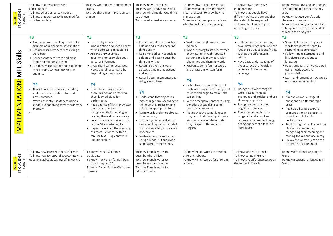|                                              | To know that my actions have            | To know what to say to compliment   | To know how I learn best.        | To know how to keep myself safe.    | To know how others have                 | To know how boys and girls bodies   |
|----------------------------------------------|-----------------------------------------|-------------------------------------|----------------------------------|-------------------------------------|-----------------------------------------|-------------------------------------|
|                                              | consequences.                           | others.                             | To know what I have done well.   | To know what anxiety and stress     | influenced me.                          | are different and change as they    |
| <mark>Impact –</mark><br>Knowledge<br>Gained | To know what democracy means.           | To know that a first impression can | To know which goals I would like | mean and begin to know how to       | To know that people have                | grow.                               |
|                                              | To know that democracy is required for  | change.                             | to achieve.                      | manage them.                        | different points of view and that       | To know that everyone's body        |
|                                              | a civilised society.                    |                                     | To know what resilience means.   | To know what peer pressure is and   | these should be respected.              | changes as they grow up.            |
|                                              |                                         |                                     |                                  | what to do if I feel it happening.  | To know about some topical              | To know the changes that are likely |
|                                              |                                         |                                     |                                  |                                     | animal rights issues.                   | to happen to me in my life and at   |
|                                              |                                         |                                     |                                  |                                     |                                         | school in the next year.            |
|                                              | <b>Y3</b>                               | <b>Y3</b>                           | Y <sub>3</sub>                   | <b>Y3</b>                           | <b>Y3</b>                               | <b>Y3</b>                           |
|                                              | • Ask and answer simple questions, for  | • Use mostly accurate               | • Use simple adjectives such as  | • Write some single words from      | • Understand that nouns may             | • Show that he/she recognises       |
|                                              | example about personal information      | pronunciation and speak clearly     | colours and sizes to describe    | memory                              | have different genders and can          | words and phrases heard by          |
|                                              | • Record descriptive sentences using a  | when addressing an audience         | things orally                    | • When listening to stories, rhymes | recognise clues to identify this,       | responding appropriately            |
|                                              | word bank                               | • Ask and answer simple             | • Use simple adjectives such as  | or songs, join in with repeated     | such as the difference in               | • Follow simple instructions and    |
| Skills                                       | • Repeat sentences heard and make       | questions, for example about        | colours and sizes to describe    | sections and identify particular    | articles                                | link pictures or actions to         |
|                                              | simple adaptations to them              | personal information                | things in writing                | phonemes and rhyming words          | • Have basic understanding of           | language                            |
|                                              | • Use mostly accurate pronunciation and | • Show that he/she recognises       | • Recognise the main word        | • Recognise some familiar words     | the usual order of words in             | · Read some familiar words aloud    |
|                                              | speak clearly when addressing an        | words and phrases heard by          | classes e g nouns, adjectives    | and phrases in written form         | sentences in the target                 | using mostly accurate               |
| MFL                                          | audience                                | responding appropriately            | and verbs                        |                                     | language                                | pronunciation                       |
|                                              |                                         |                                     | • Record descriptive sentences   | <b>Y4</b>                           |                                         | • Learn and remember new words      |
|                                              | <b>Y4</b>                               | <b>Y4</b>                           | using a word bank                | • Listen to and accurately repeat   | <b>Y4</b>                               | encountered in reading              |
|                                              | • Using familiar sentences as models,   | • Read aloud using accurate         |                                  | particular phonemes in songs and    | Recognise a wider range of<br>$\bullet$ |                                     |
|                                              | make varied adaptations to create       | pronunciation and present a         | <b>Y4</b>                        | rhymes and begin to make links      | word classes including                  | <b>Y4</b>                           |
|                                              | new sentences                           | short learned piece for             | • Understand that adjectives     | to spellings                        | pronouns and articles, and use          | • Ask and answer a range of         |
|                                              | • Write descriptive sentences using a   | performance                         | may change form according to     | • Write descriptive sentences using | them appropriately                      | questions on different topic        |
|                                              | model but supplying some words from     | Read a range of familiar written    | the noun they relate to, and     | a model but supplying some          | • Recognise questions and               | areas                               |
|                                              | memory                                  | phrases and sentences,              | select the appropriate form      | words from memory                   | negative sentences                      | • Read aloud using accurate         |
|                                              |                                         | recognising their meaning and       | • Write words and short phrases  | • Notice that the target language   | • Show understanding of a               | pronunciation and present a         |
|                                              |                                         | reading them aloud accurately       | from memory                      | may contain different phonemes      | range of familiar spoken                | short learned piece for             |
|                                              |                                         | • Follow the written version of a   | • Use a range of adjectives to   | and that some similar sounds        | phrases, for example through            | performance                         |
|                                              |                                         | text he/she is listening to         | describe things in more detail,  | may be spelt differently to         | acting out part of a familiar           | • Read a range of familiar written  |
| <b>MPLEMENTATION:</b>                        |                                         | • Begin to work out the meaning     | such as describing someone's     | English                             | story heard                             | phrases and sentences,              |
|                                              |                                         | of unfamiliar words within a        | appearance                       |                                     |                                         | recognising their meaning and       |
|                                              |                                         | familiar text using contextual      | • Write descriptive sentences    |                                     |                                         | reading them aloud accurately       |
|                                              |                                         | and other clues                     | using a model but supplying      |                                     |                                         | Follow the written version of a     |
|                                              |                                         |                                     | some words from memory           |                                     |                                         | text he/she is listening to         |
|                                              | To know how to greet others in French.  | To know French Christmas            | To know French words to          | To know French words to describe    | To know stories in French.              | To know directional language in     |
| <mark>IMPACT –</mark><br>KNOWLEDGE<br>GAINED | To know how to respond appropriately to | traditions.                         | describe where I live.           | different hobbies.                  | To know songs in French.                | French.                             |
|                                              | questions asked about myself in French. | To know the French for numbers      | To know French words to          | To know French words for different  | To know the difference between          | To know instructional language in   |
|                                              |                                         | up to and beyond 20.                | describe my daily routine.       | colours.                            | the tenses in French                    | French.                             |
|                                              |                                         | To know French for key Christmas    | To know French words for         |                                     |                                         |                                     |
|                                              |                                         | phrases.                            | different foods.                 |                                     |                                         |                                     |
|                                              |                                         |                                     |                                  |                                     |                                         |                                     |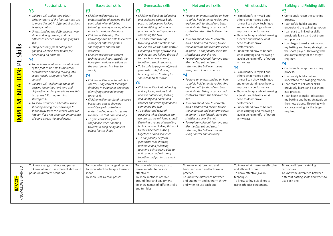|                                       | <b>Football skills</b>                                                                                                                                                                                                                                                                                                                                                                                                                                                                                                                                                                                                                                                                                                                                                                                                                                                                                                          | <b>Basketball skills</b>                                                                                                                                                                                                                                                                                                                                                                                                                                                                                                                                                                                                                                                                                                                                                                                                                                                                                                            | <b>Gymnastics skills</b>                                                                                                                                                                                                                                                                                                                                                                                                                                                                                                                                                                                                                                                                                                                                                                                                                                                                                                                                                                                                                                                                                                                                                          | Net and wall skills                                                                                                                                                                                                                                                                                                                                                                                                                                                                                                                                                                                                                                                                                                                                                                                                                                                                                                                                                                                                                                   | <b>Athletics skills</b>                                                                                                                                                                                                                                                                                                                                                                                                                                                                                                                                                                                                                                                                                                                                                               | <b>Striking and Fielding skills</b>                                                                                                                                                                                                                                                                                                                                                                                                                                                                                                                                                                                                                                                                                                                           |
|---------------------------------------|---------------------------------------------------------------------------------------------------------------------------------------------------------------------------------------------------------------------------------------------------------------------------------------------------------------------------------------------------------------------------------------------------------------------------------------------------------------------------------------------------------------------------------------------------------------------------------------------------------------------------------------------------------------------------------------------------------------------------------------------------------------------------------------------------------------------------------------------------------------------------------------------------------------------------------|-------------------------------------------------------------------------------------------------------------------------------------------------------------------------------------------------------------------------------------------------------------------------------------------------------------------------------------------------------------------------------------------------------------------------------------------------------------------------------------------------------------------------------------------------------------------------------------------------------------------------------------------------------------------------------------------------------------------------------------------------------------------------------------------------------------------------------------------------------------------------------------------------------------------------------------|-----------------------------------------------------------------------------------------------------------------------------------------------------------------------------------------------------------------------------------------------------------------------------------------------------------------------------------------------------------------------------------------------------------------------------------------------------------------------------------------------------------------------------------------------------------------------------------------------------------------------------------------------------------------------------------------------------------------------------------------------------------------------------------------------------------------------------------------------------------------------------------------------------------------------------------------------------------------------------------------------------------------------------------------------------------------------------------------------------------------------------------------------------------------------------------|-------------------------------------------------------------------------------------------------------------------------------------------------------------------------------------------------------------------------------------------------------------------------------------------------------------------------------------------------------------------------------------------------------------------------------------------------------------------------------------------------------------------------------------------------------------------------------------------------------------------------------------------------------------------------------------------------------------------------------------------------------------------------------------------------------------------------------------------------------------------------------------------------------------------------------------------------------------------------------------------------------------------------------------------------------|---------------------------------------------------------------------------------------------------------------------------------------------------------------------------------------------------------------------------------------------------------------------------------------------------------------------------------------------------------------------------------------------------------------------------------------------------------------------------------------------------------------------------------------------------------------------------------------------------------------------------------------------------------------------------------------------------------------------------------------------------------------------------------------|---------------------------------------------------------------------------------------------------------------------------------------------------------------------------------------------------------------------------------------------------------------------------------------------------------------------------------------------------------------------------------------------------------------------------------------------------------------------------------------------------------------------------------------------------------------------------------------------------------------------------------------------------------------------------------------------------------------------------------------------------------------|
|                                       | <b>Y3</b>                                                                                                                                                                                                                                                                                                                                                                                                                                                                                                                                                                                                                                                                                                                                                                                                                                                                                                                       | <b>Y3</b>                                                                                                                                                                                                                                                                                                                                                                                                                                                                                                                                                                                                                                                                                                                                                                                                                                                                                                                           | <b>Y3</b>                                                                                                                                                                                                                                                                                                                                                                                                                                                                                                                                                                                                                                                                                                                                                                                                                                                                                                                                                                                                                                                                                                                                                                         | <b>Y3</b>                                                                                                                                                                                                                                                                                                                                                                                                                                                                                                                                                                                                                                                                                                                                                                                                                                                                                                                                                                                                                                             | <b>Y3</b>                                                                                                                                                                                                                                                                                                                                                                                                                                                                                                                                                                                                                                                                                                                                                                             | Y3                                                                                                                                                                                                                                                                                                                                                                                                                                                                                                                                                                                                                                                                                                                                                            |
| Skills<br>믿<br><b>IMPLEMENTATION:</b> | • Children will understand about<br>different parts of the feet they can use<br>to move the ball in different directions<br>keeping control.<br>• Understanding the difference between<br>short and long passing and the<br>difference needed when applying this<br>skill.<br>• Using accuracy for shooting and<br>gauging where is best to aim for<br>depending on position<br>Y4<br>• To understand when to use what part<br>of the foot to be able to maintain<br>control while dribbling moving into<br>space mostly using both feet for<br>control.<br>• Children will explain the range of<br>passing (covering short long and<br>chipped) when/why would we use this<br>in a game? Starting to think<br>strategically.<br>• To show accuracy and control while<br>shooting having the knowledge to<br>shoot away from the keeper what will<br>happen if it's not accurate. Importance<br>of going across the goalkeeper. | • Children will develop an<br>understanding of keeping the ball<br>controlled when dribbling<br>following technique, being able to<br>move in a various directions.<br>• Children will develop the<br>knowledge and be able to execute<br>a range of different passes<br>showing both control and<br>accuracy.<br>• Children will use the correct<br>technique to shoot towards the<br>hoop from various positions on<br>the court (when is it best to<br>shoot)<br><b>Y4</b><br>• Children will be able to dribble in<br>control using correct technique<br>dribbling in a range of directions<br>Identifying space ad moving<br>towards it.<br>• Children will understand the three<br>basketball passes showing<br>consistency of control and<br>understanding when in a game<br>we may use that pass and why.<br>• To gain consistency and<br>confidence when shooting<br>towards a hoop being able to<br>adjust feet to shoot. | · Children will look at balancing<br>and exploring various body<br>parts to balance on, looking<br>and identifying points and<br>patches and creating balances<br>combining the two.<br>• To understand ways of<br>travelling what directions can<br>we use can we roll jump crawl?<br>Exploring a range of travelling<br>techniques and linking this back<br>to their balances putting<br>together a small sequence.<br>• To be able to perform different<br>gymnastic rolls following<br>teaching points. Starting to<br>show cannon or mirror.<br><b>Y4</b><br>• Children will look at balancing<br>and exploring various body<br>parts to balance on, looking<br>and identifying points and<br>patches and creating balances<br>combining the two<br>• To understand ways of<br>travelling what directions can<br>we use can we roll jump crawl?<br>Exploring a range of travelling<br>techniques and linking this back<br>to their balances putting<br>together a small sequence<br>• To confidently perform<br>gymnastic rolls showing<br>technique and following<br>teaching points being able to<br>add cannon and mirroring<br>together and put into a small<br>routine. | • To have an understanding on how<br>to safely hold a tennis racket. And<br>explore both forehand and back<br>hand shorts. Using accuracy and<br>control to return the ball over the<br>net.<br>• To learn about how to correctly<br>hold a badminton racket, to use<br>the underarm and over arm clears<br>in game. To confidently serve the<br>shuttlecock over the net.<br>• To explore volleyball learning short<br>like the Dig, set and smash<br>returning the ball over the net<br>using control an d accuracy.<br>Y4<br>• To have an understanding on how<br>to safely hold a tennis racket. And<br>explore both forehand and back<br>hand shorts. Using accuracy and<br>control to return the ball over the<br>net.<br>• To learn about how to correctly<br>hold a badminton racket, to use<br>the underarm and over arm clears<br>in game. To confidently serve the<br>shuttlecock over the net.<br>• To explore volleyball learning short<br>like the Dig, set and smash<br>returning the ball over the net<br>using control and accuracy. | . I can identify in myself and<br>others what makes a good<br>runner I can show technique<br>and understanding on how to<br>improve my performance.<br>• Show technique while throwing<br>a javelin and identify what I<br>need to do improve<br>performance.<br>. I understand how to be safe<br>while carrying and throwing a<br>javelin being mindful of others<br>in my class.<br><b>Y4</b><br>. I can identify in myself and<br>others what makes a good<br>runner I can show technique<br>and understanding on how to<br>improve my performance.<br>· Show technique while throwing<br>a javelin and identify what I<br>need to do improve<br>performance.<br>. I understand how to be safe<br>while carrying and throwing a<br>javelin being mindful of others<br>in my class. | • Confidently recap the catching<br>process.<br>. I can safely hold a bat and<br>understand the swinging motion.<br>. I can start to link other skills<br>previously learnt and put them<br>into practice.<br>• I can begin to make links about<br>my batting and being strategic on<br>the shots played. Throwing with<br>accuracy aiming for the target<br>required.<br><b>Y4</b><br>• Confidently recap the catching<br>process.<br>. I can safely hold a bat and<br>understand the swinging motion.<br>. I can start to link other skills<br>previously learnt and put them<br>into practice.<br>• I can begin to make links about<br>my batting and being strategic on<br>the shots played. Throwing with<br>accuracy aiming for the target<br>required. |
| KNOWLEDGE GAINED                      | To know a range of shots and passes.<br>To know when to use different shots and<br>passes in different scenarios.                                                                                                                                                                                                                                                                                                                                                                                                                                                                                                                                                                                                                                                                                                                                                                                                               | To know when to change direction.<br>To know which technique to use to<br>shoot.<br>To know 3 basketball passes.                                                                                                                                                                                                                                                                                                                                                                                                                                                                                                                                                                                                                                                                                                                                                                                                                    | To know which body parts to<br>move in order to balance<br>effectively.<br>To know methods of travel<br>around floor and equipment.<br>To know names of different rolls<br>and tumbles.                                                                                                                                                                                                                                                                                                                                                                                                                                                                                                                                                                                                                                                                                                                                                                                                                                                                                                                                                                                           | To know what forehand and<br>backhand mean and look like in<br>practice.<br>To know the difference between<br>and underarm and overarm throw<br>and when to use each one.                                                                                                                                                                                                                                                                                                                                                                                                                                                                                                                                                                                                                                                                                                                                                                                                                                                                             | To know what makes an effective<br>and efficient runner.<br>To know effective javelin<br>technique.<br>To know safety guidelines to<br>using athletics equipment.                                                                                                                                                                                                                                                                                                                                                                                                                                                                                                                                                                                                                     | To know different catching<br>techniques.<br>To know the difference between<br>different batting shots and when to<br>use each one.                                                                                                                                                                                                                                                                                                                                                                                                                                                                                                                                                                                                                           |